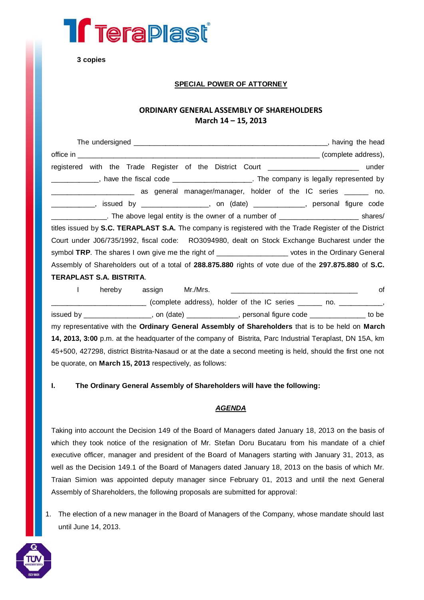

**3 copies**

# **SPECIAL POWER OF ATTORNEY**

# **ORDINARY GENERAL ASSEMBLY OF SHAREHOLDERS March 14 – 15, 2013**

| ___________________________________ (complete address),                                                |
|--------------------------------------------------------------------------------------------------------|
| registered with the Trade Register of the District Court ________________________ under                |
| ____________, have the fiscal code _______________________. The company is legally represented by      |
| _____________________________ as general manager/manager, holder of the IC series _______ no.          |
| ____________, issued by ________________, on (date) ___________, personal figure code                  |
| _______________. The above legal entity is the owner of a number of __________________________ shares/ |
| titles issued by S.C. TERAPLAST S.A. The company is registered with the Trade Register of the District |
| Court under J06/735/1992, fiscal code: RO3094980, dealt on Stock Exchange Bucharest under the          |
| symbol TRP. The shares I own give me the right of ___________________ votes in the Ordinary General    |
| Assembly of Shareholders out of a total of 288.875.880 rights of vote due of the 297.875.880 of S.C.   |
| <b>TERAPLAST S.A. BISTRITA.</b>                                                                        |

I hereby assign Mr./Mrs. \_\_\_\_\_\_\_\_\_\_\_\_\_\_\_\_\_\_\_\_\_\_\_\_\_\_\_\_\_\_\_\_ of \_\_\_\_\_\_\_\_\_\_\_\_\_\_\_\_\_\_\_\_\_\_\_\_ (complete address), holder of the IC series \_\_\_\_\_\_ no. \_\_\_\_\_\_\_\_\_\_\_, issued by \_\_\_\_\_\_\_\_\_\_\_\_\_\_\_\_\_, on (date) \_\_\_\_\_\_\_\_\_\_\_\_\_, personal figure code \_\_\_\_\_\_\_\_\_\_\_\_\_\_ to be my representative with the **Ordinary General Assembly of Shareholders** that is to be held on **March 14, 2013, 3:00** p.m. at the headquarter of the company of Bistrita, Parc Industrial Teraplast, DN 15A, km 45+500, 427298, district Bistrita-Nasaud or at the date a second meeting is held, should the first one not be quorate, on **March 15, 2013** respectively, as follows:

# **I. The Ordinary General Assembly of Shareholders will have the following:**

### *AGENDA*

Taking into account the Decision 149 of the Board of Managers dated January 18, 2013 on the basis of which they took notice of the resignation of Mr. Stefan Doru Bucataru from his mandate of a chief executive officer, manager and president of the Board of Managers starting with January 31, 2013, as well as the Decision 149.1 of the Board of Managers dated January 18, 2013 on the basis of which Mr. Traian Simion was appointed deputy manager since February 01, 2013 and until the next General Assembly of Shareholders, the following proposals are submitted for approval:

1. The election of a new manager in the Board of Managers of the Company, whose mandate should last until June 14, 2013.

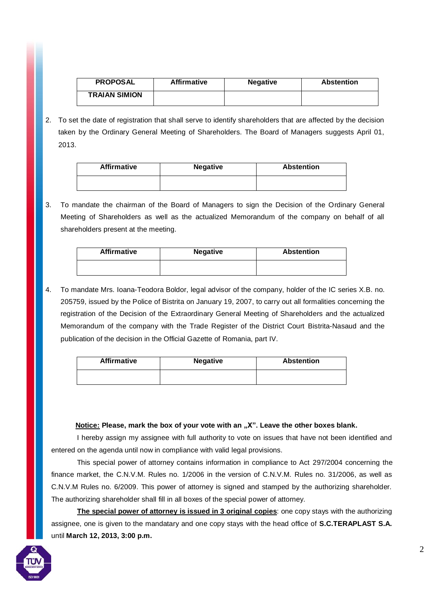| <b>PROPOSAL</b>      | Affirmative | <b>Negative</b> | <b>Abstention</b> |
|----------------------|-------------|-----------------|-------------------|
| <b>TRAIAN SIMION</b> |             |                 |                   |

2. To set the date of registration that shall serve to identify shareholders that are affected by the decision taken by the Ordinary General Meeting of Shareholders. The Board of Managers suggests April 01, 2013.

| <b>Affirmative</b> | <b>Negative</b> | <b>Abstention</b> |
|--------------------|-----------------|-------------------|
|                    |                 |                   |

3. To mandate the chairman of the Board of Managers to sign the Decision of the Ordinary General Meeting of Shareholders as well as the actualized Memorandum of the company on behalf of all shareholders present at the meeting.

| <b>Affirmative</b> | <b>Negative</b> | <b>Abstention</b> |
|--------------------|-----------------|-------------------|
|                    |                 |                   |

4. To mandate Mrs. Ioana-Teodora Boldor, legal advisor of the company, holder of the IC series X.B. no. 205759, issued by the Police of Bistrita on January 19, 2007, to carry out all formalities concerning the registration of the Decision of the Extraordinary General Meeting of Shareholders and the actualized Memorandum of the company with the Trade Register of the District Court Bistrita-Nasaud and the publication of the decision in the Official Gazette of Romania, part IV.

| <b>Affirmative</b> | <b>Negative</b> | <b>Abstention</b> |
|--------------------|-----------------|-------------------|
|                    |                 |                   |

### **Notice: Please, mark the box of your vote with an "X". Leave the other boxes blank.**

I hereby assign my assignee with full authority to vote on issues that have not been identified and entered on the agenda until now in compliance with valid legal provisions.

This special power of attorney contains information in compliance to Act 297/2004 concerning the finance market, the C.N.V.M. Rules no. 1/2006 in the version of C.N.V.M. Rules no. 31/2006, as well as C.N.V.M Rules no. 6/2009. This power of attorney is signed and stamped by the authorizing shareholder. The authorizing shareholder shall fill in all boxes of the special power of attorney.

**The special power of attorney is issued in 3 original copies**: one copy stays with the authorizing assignee, one is given to the mandatary and one copy stays with the head office of **S.C.TERAPLAST S.A.**  until **March 12, 2013, 3:00 p.m.**